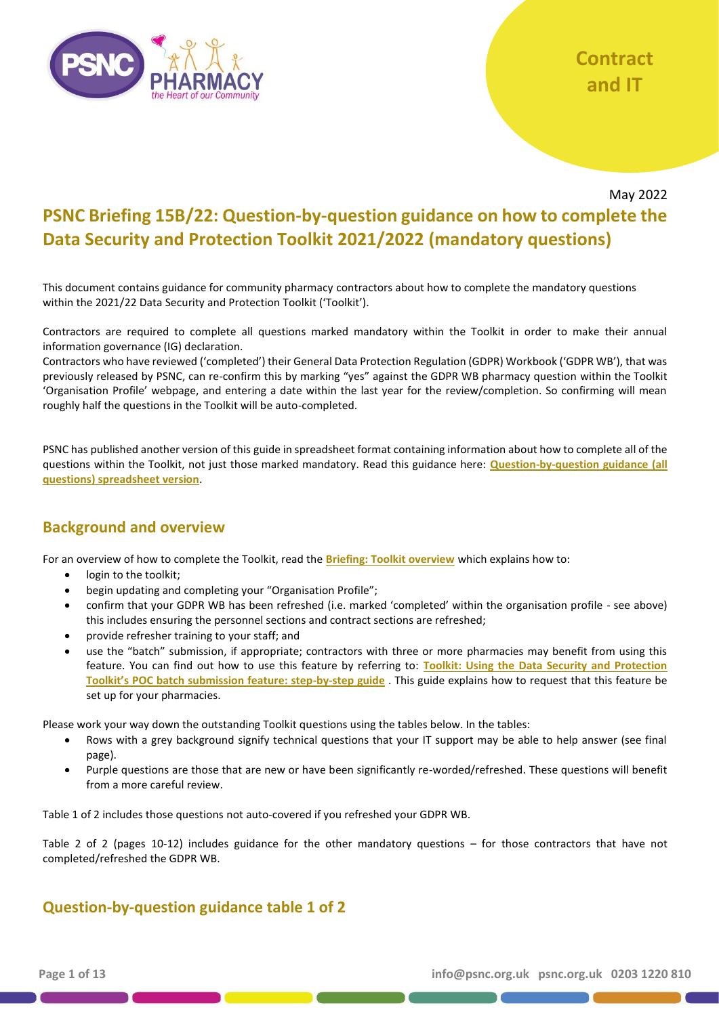

May 2022

# **PSNC Briefing 15B/22: Question-by-question guidance on how to complete the Data Security and Protection Toolkit 2021/2022 (mandatory questions)**

This document contains guidance for community pharmacy contractors about how to complete the mandatory questions within the 2021/22 Data Security and Protection Toolkit ('Toolkit').

Contractors are required to complete all questions marked mandatory within the Toolkit in order to make their annual information governance (IG) declaration.

Contractors who have reviewed ('completed') their General Data Protection Regulation (GDPR) Workbook ('GDPR WB'), that was previously released by PSNC, can re-confirm this by marking "yes" against the GDPR WB pharmacy question within the Toolkit 'Organisation Profile' webpage, and entering a date within the last year for the review/completion. So confirming will mean roughly half the questions in the Toolkit will be auto-completed.

PSNC has published another version of this guide in spreadsheet format containing information about how to complete all of the questions within the Toolkit, not just those marked mandatory. Read this guidance here: **[Question-by-question guidance \(all](https://psnc.org.uk/tk)  [questions\) spreadsheet version](https://psnc.org.uk/tk)**.

### **Background and overview**

For an overview of how to complete the Toolkit, read the **[Briefing: Toolkit overview](https://psnc.org.uk/tk)** which explains how to:

- login to the toolkit;
- begin updating and completing your "Organisation Profile";
- confirm that your GDPR WB has been refreshed (i.e. marked 'completed' within the organisation profile see above) this includes ensuring the personnel sections and contract sections are refreshed;
- provide refresher training to your staff; and
- use the "batch" submission, if appropriate; contractors with three or more pharmacies may benefit from using this feature. You can find out how to use this feature by referring to: **[Toolkit: Using the Data Security and Protection](https://psnc.org.uk/tk)  [Toolkit's POC batch submission feature: step](https://psnc.org.uk/tk)-by-step guide** . This guide explains how to request that this feature be set up for your pharmacies.

Please work your way down the outstanding Toolkit questions using the tables below. In the tables:

- Rows with a grey background signify technical questions that your IT support may be able to help answer (see final page).
- Purple questions are those that are new or have been significantly re-worded/refreshed. These questions will benefit from a more careful review.

Table 1 of 2 includes those questions not auto-covered if you refreshed your GDPR WB.

Table 2 of 2 (pages 10-12) includes guidance for the other mandatory questions – for those contractors that have not completed/refreshed the GDPR WB.

## **Question-by-question guidance table 1 of 2**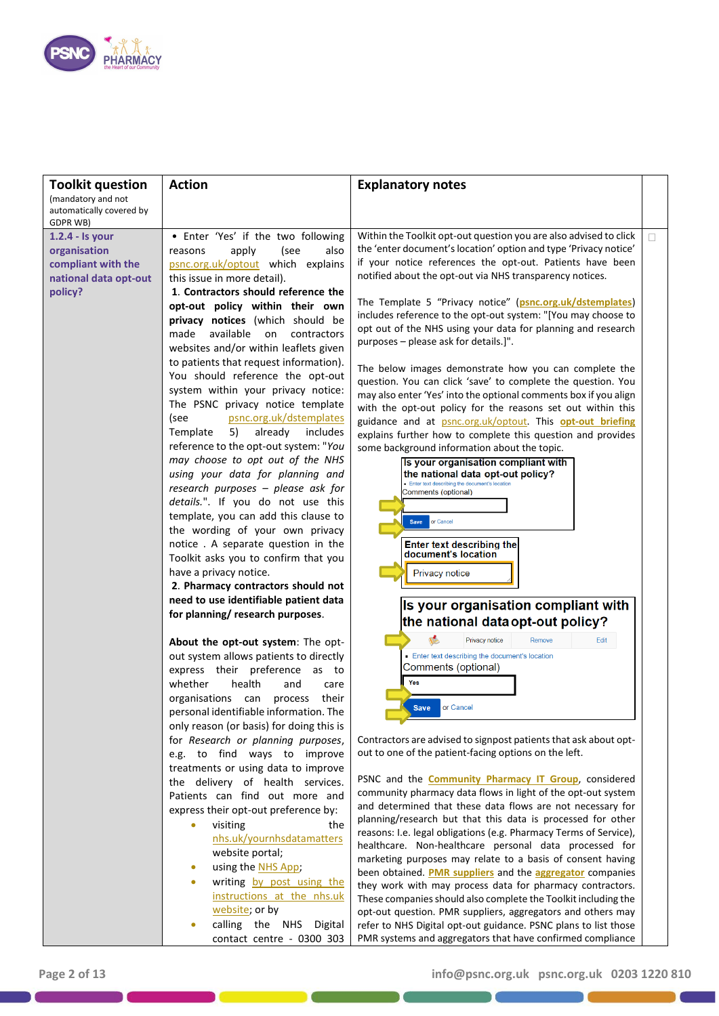

| <b>Toolkit question</b>                                                                   | <b>Action</b>                                                                                                                                                                                                                                                                                                                                                                                                                                                                                                                                                                                                                                                                                                                                                                                                                                                                                                                                                  | <b>Explanatory notes</b>                                                                                                                                                                                                                                                                                                                                                                                                                                                                                                                                                                                                                                                                                                                                                                                                                                                                                                                                                                                                                                                                                                                                                                                            |   |
|-------------------------------------------------------------------------------------------|----------------------------------------------------------------------------------------------------------------------------------------------------------------------------------------------------------------------------------------------------------------------------------------------------------------------------------------------------------------------------------------------------------------------------------------------------------------------------------------------------------------------------------------------------------------------------------------------------------------------------------------------------------------------------------------------------------------------------------------------------------------------------------------------------------------------------------------------------------------------------------------------------------------------------------------------------------------|---------------------------------------------------------------------------------------------------------------------------------------------------------------------------------------------------------------------------------------------------------------------------------------------------------------------------------------------------------------------------------------------------------------------------------------------------------------------------------------------------------------------------------------------------------------------------------------------------------------------------------------------------------------------------------------------------------------------------------------------------------------------------------------------------------------------------------------------------------------------------------------------------------------------------------------------------------------------------------------------------------------------------------------------------------------------------------------------------------------------------------------------------------------------------------------------------------------------|---|
| (mandatory and not<br>automatically covered by                                            |                                                                                                                                                                                                                                                                                                                                                                                                                                                                                                                                                                                                                                                                                                                                                                                                                                                                                                                                                                |                                                                                                                                                                                                                                                                                                                                                                                                                                                                                                                                                                                                                                                                                                                                                                                                                                                                                                                                                                                                                                                                                                                                                                                                                     |   |
| GDPR WB)                                                                                  |                                                                                                                                                                                                                                                                                                                                                                                                                                                                                                                                                                                                                                                                                                                                                                                                                                                                                                                                                                |                                                                                                                                                                                                                                                                                                                                                                                                                                                                                                                                                                                                                                                                                                                                                                                                                                                                                                                                                                                                                                                                                                                                                                                                                     |   |
| 1.2.4 - Is your<br>organisation<br>compliant with the<br>national data opt-out<br>policy? | • Enter 'Yes' if the two following<br>apply<br>(see<br>also<br>reasons<br>psnc.org.uk/optout which explains<br>this issue in more detail).<br>1. Contractors should reference the<br>opt-out policy within their own<br>privacy notices (which should be<br>available<br>made<br>on<br>contractors<br>websites and/or within leaflets given<br>to patients that request information).<br>You should reference the opt-out<br>system within your privacy notice:<br>The PSNC privacy notice template<br>psnc.org.uk/dstemplates<br>(see<br>5)<br>already<br>includes<br>Template<br>reference to the opt-out system: "You<br>may choose to opt out of the NHS<br>using your data for planning and<br>research purposes - please ask for<br>details.". If you do not use this<br>template, you can add this clause to<br>the wording of your own privacy<br>notice. A separate question in the<br>Toolkit asks you to confirm that you<br>have a privacy notice. | Within the Toolkit opt-out question you are also advised to click<br>the 'enter document's location' option and type 'Privacy notice'<br>if your notice references the opt-out. Patients have been<br>notified about the opt-out via NHS transparency notices.<br>The Template 5 "Privacy notice" (psnc.org.uk/dstemplates)<br>includes reference to the opt-out system: "[You may choose to<br>opt out of the NHS using your data for planning and research<br>purposes - please ask for details.]".<br>The below images demonstrate how you can complete the<br>question. You can click 'save' to complete the question. You<br>may also enter 'Yes' into the optional comments box if you align<br>with the opt-out policy for the reasons set out within this<br>guidance and at psnc.org.uk/optout. This opt-out briefing<br>explains further how to complete this question and provides<br>some background information about the topic.<br>Is your organisation compliant with<br>the national data opt-out policy?<br>. Enter text describing the document's location<br>Comments (optional)<br>or Cancel<br><b>Save</b><br><b>Enter text describing the</b><br>document's location<br><b>Privacy notice</b> | П |
|                                                                                           | 2. Pharmacy contractors should not                                                                                                                                                                                                                                                                                                                                                                                                                                                                                                                                                                                                                                                                                                                                                                                                                                                                                                                             |                                                                                                                                                                                                                                                                                                                                                                                                                                                                                                                                                                                                                                                                                                                                                                                                                                                                                                                                                                                                                                                                                                                                                                                                                     |   |
|                                                                                           | need to use identifiable patient data                                                                                                                                                                                                                                                                                                                                                                                                                                                                                                                                                                                                                                                                                                                                                                                                                                                                                                                          | Is your organisation compliant with                                                                                                                                                                                                                                                                                                                                                                                                                                                                                                                                                                                                                                                                                                                                                                                                                                                                                                                                                                                                                                                                                                                                                                                 |   |
|                                                                                           | for planning/ research purposes.                                                                                                                                                                                                                                                                                                                                                                                                                                                                                                                                                                                                                                                                                                                                                                                                                                                                                                                               | the national data opt-out policy?                                                                                                                                                                                                                                                                                                                                                                                                                                                                                                                                                                                                                                                                                                                                                                                                                                                                                                                                                                                                                                                                                                                                                                                   |   |
|                                                                                           | About the opt-out system: The opt-<br>out system allows patients to directly<br>express their preference<br>as to<br>whether<br>health<br>and<br>care<br>their<br>organisations can process                                                                                                                                                                                                                                                                                                                                                                                                                                                                                                                                                                                                                                                                                                                                                                    | Privacy notice<br>Remove<br>Edit<br>Enter text describing the document's location<br>Comments (optional)<br>Yes                                                                                                                                                                                                                                                                                                                                                                                                                                                                                                                                                                                                                                                                                                                                                                                                                                                                                                                                                                                                                                                                                                     |   |
|                                                                                           | personal identifiable information. The                                                                                                                                                                                                                                                                                                                                                                                                                                                                                                                                                                                                                                                                                                                                                                                                                                                                                                                         | or Cancel<br><b>Save</b>                                                                                                                                                                                                                                                                                                                                                                                                                                                                                                                                                                                                                                                                                                                                                                                                                                                                                                                                                                                                                                                                                                                                                                                            |   |
|                                                                                           | only reason (or basis) for doing this is<br>for Research or planning purposes,<br>e.g. to find ways to improve<br>treatments or using data to improve                                                                                                                                                                                                                                                                                                                                                                                                                                                                                                                                                                                                                                                                                                                                                                                                          | Contractors are advised to signpost patients that ask about opt-<br>out to one of the patient-facing options on the left.                                                                                                                                                                                                                                                                                                                                                                                                                                                                                                                                                                                                                                                                                                                                                                                                                                                                                                                                                                                                                                                                                           |   |
|                                                                                           | the delivery of health services.<br>Patients can find out more and<br>express their opt-out preference by:                                                                                                                                                                                                                                                                                                                                                                                                                                                                                                                                                                                                                                                                                                                                                                                                                                                     | PSNC and the <b>Community Pharmacy IT Group</b> , considered<br>community pharmacy data flows in light of the opt-out system<br>and determined that these data flows are not necessary for                                                                                                                                                                                                                                                                                                                                                                                                                                                                                                                                                                                                                                                                                                                                                                                                                                                                                                                                                                                                                          |   |
|                                                                                           | visiting<br>the<br>nhs.uk/yournhsdatamatters<br>website portal;                                                                                                                                                                                                                                                                                                                                                                                                                                                                                                                                                                                                                                                                                                                                                                                                                                                                                                | planning/research but that this data is processed for other<br>reasons: I.e. legal obligations (e.g. Pharmacy Terms of Service),<br>healthcare. Non-healthcare personal data processed for<br>marketing purposes may relate to a basis of consent having                                                                                                                                                                                                                                                                                                                                                                                                                                                                                                                                                                                                                                                                                                                                                                                                                                                                                                                                                            |   |
|                                                                                           | using the NHS App;<br>۰<br>writing by post using the<br>instructions at the nhs.uk<br>website; or by                                                                                                                                                                                                                                                                                                                                                                                                                                                                                                                                                                                                                                                                                                                                                                                                                                                           | been obtained. PMR suppliers and the aggregator companies<br>they work with may process data for pharmacy contractors.<br>These companies should also complete the Toolkit including the<br>opt-out question. PMR suppliers, aggregators and others may                                                                                                                                                                                                                                                                                                                                                                                                                                                                                                                                                                                                                                                                                                                                                                                                                                                                                                                                                             |   |
|                                                                                           | calling the NHS Digital<br>contact centre - 0300 303                                                                                                                                                                                                                                                                                                                                                                                                                                                                                                                                                                                                                                                                                                                                                                                                                                                                                                           | refer to NHS Digital opt-out guidance. PSNC plans to list those<br>PMR systems and aggregators that have confirmed compliance                                                                                                                                                                                                                                                                                                                                                                                                                                                                                                                                                                                                                                                                                                                                                                                                                                                                                                                                                                                                                                                                                       |   |

**DEL CONTENT**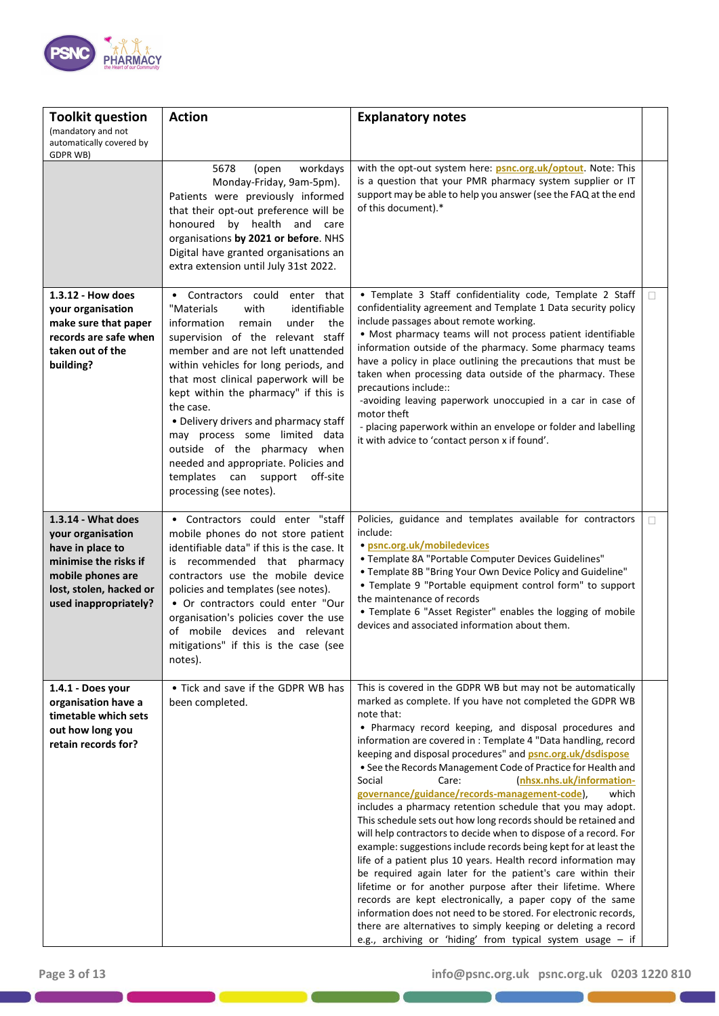

| <b>Toolkit question</b><br>(mandatory and not<br>automatically covered by                                                                                     | <b>Action</b>                                                                                                                                                                                                                                                                                                                                                                                                                                                                                                                                               | <b>Explanatory notes</b>                                                                                                                                                                                                                                                                                                                                                                                                                                                                                                                                                                                                                                                                                                                                                                                                                                                                                                                                                                                                                                                                                                                                                                                                                                 |   |
|---------------------------------------------------------------------------------------------------------------------------------------------------------------|-------------------------------------------------------------------------------------------------------------------------------------------------------------------------------------------------------------------------------------------------------------------------------------------------------------------------------------------------------------------------------------------------------------------------------------------------------------------------------------------------------------------------------------------------------------|----------------------------------------------------------------------------------------------------------------------------------------------------------------------------------------------------------------------------------------------------------------------------------------------------------------------------------------------------------------------------------------------------------------------------------------------------------------------------------------------------------------------------------------------------------------------------------------------------------------------------------------------------------------------------------------------------------------------------------------------------------------------------------------------------------------------------------------------------------------------------------------------------------------------------------------------------------------------------------------------------------------------------------------------------------------------------------------------------------------------------------------------------------------------------------------------------------------------------------------------------------|---|
| GDPR WB)                                                                                                                                                      |                                                                                                                                                                                                                                                                                                                                                                                                                                                                                                                                                             |                                                                                                                                                                                                                                                                                                                                                                                                                                                                                                                                                                                                                                                                                                                                                                                                                                                                                                                                                                                                                                                                                                                                                                                                                                                          |   |
|                                                                                                                                                               | 5678<br>(open<br>workdays<br>Monday-Friday, 9am-5pm).<br>Patients were previously informed<br>that their opt-out preference will be<br>honoured by health and care<br>organisations by 2021 or before. NHS<br>Digital have granted organisations an<br>extra extension until July 31st 2022.                                                                                                                                                                                                                                                                | with the opt-out system here: psnc.org.uk/optout. Note: This<br>is a question that your PMR pharmacy system supplier or IT<br>support may be able to help you answer (see the FAQ at the end<br>of this document).*                                                                                                                                                                                                                                                                                                                                                                                                                                                                                                                                                                                                                                                                                                                                                                                                                                                                                                                                                                                                                                      |   |
| 1.3.12 - How does<br>your organisation<br>make sure that paper<br>records are safe when<br>taken out of the<br>building?                                      | Contractors could enter that<br>$\bullet$<br>"Materials<br>with<br>identifiable<br>information<br>remain<br>under<br>the<br>supervision of the relevant staff<br>member and are not left unattended<br>within vehicles for long periods, and<br>that most clinical paperwork will be<br>kept within the pharmacy" if this is<br>the case.<br>• Delivery drivers and pharmacy staff<br>may process some limited data<br>outside of the pharmacy when<br>needed and appropriate. Policies and<br>templates can support<br>off-site<br>processing (see notes). | • Template 3 Staff confidentiality code, Template 2 Staff<br>confidentiality agreement and Template 1 Data security policy<br>include passages about remote working.<br>• Most pharmacy teams will not process patient identifiable<br>information outside of the pharmacy. Some pharmacy teams<br>have a policy in place outlining the precautions that must be<br>taken when processing data outside of the pharmacy. These<br>precautions include::<br>-avoiding leaving paperwork unoccupied in a car in case of<br>motor theft<br>- placing paperwork within an envelope or folder and labelling<br>it with advice to 'contact person x if found'.                                                                                                                                                                                                                                                                                                                                                                                                                                                                                                                                                                                                  | П |
| 1.3.14 - What does<br>your organisation<br>have in place to<br>minimise the risks if<br>mobile phones are<br>lost, stolen, hacked or<br>used inappropriately? | • Contractors could enter "staff<br>mobile phones do not store patient<br>identifiable data" if this is the case. It<br>is recommended that pharmacy<br>contractors use the mobile device<br>policies and templates (see notes).<br>• Or contractors could enter "Our<br>organisation's policies cover the use<br>of mobile devices and relevant<br>mitigations" if this is the case (see<br>notes).                                                                                                                                                        | Policies, guidance and templates available for contractors<br>include:<br>· psnc.org.uk/mobiledevices<br>• Template 8A "Portable Computer Devices Guidelines"<br>• Template 8B "Bring Your Own Device Policy and Guideline"<br>• Template 9 "Portable equipment control form" to support<br>the maintenance of records<br>• Template 6 "Asset Register" enables the logging of mobile<br>devices and associated information about them.                                                                                                                                                                                                                                                                                                                                                                                                                                                                                                                                                                                                                                                                                                                                                                                                                  | П |
| 1.4.1 - Does your<br>organisation have a<br>timetable which sets<br>out how long you<br>retain records for?                                                   | • Tick and save if the GDPR WB has<br>been completed.                                                                                                                                                                                                                                                                                                                                                                                                                                                                                                       | This is covered in the GDPR WB but may not be automatically<br>marked as complete. If you have not completed the GDPR WB<br>note that:<br>• Pharmacy record keeping, and disposal procedures and<br>information are covered in : Template 4 "Data handling, record<br>keeping and disposal procedures" and <b>psnc.org.uk/dsdispose</b><br>• See the Records Management Code of Practice for Health and<br>Social<br>Care:<br>(nhsx.nhs.uk/information-<br>governance/guidance/records-management-code),<br>which<br>includes a pharmacy retention schedule that you may adopt.<br>This schedule sets out how long records should be retained and<br>will help contractors to decide when to dispose of a record. For<br>example: suggestions include records being kept for at least the<br>life of a patient plus 10 years. Health record information may<br>be required again later for the patient's care within their<br>lifetime or for another purpose after their lifetime. Where<br>records are kept electronically, a paper copy of the same<br>information does not need to be stored. For electronic records,<br>there are alternatives to simply keeping or deleting a record<br>e.g., archiving or 'hiding' from typical system usage - if |   |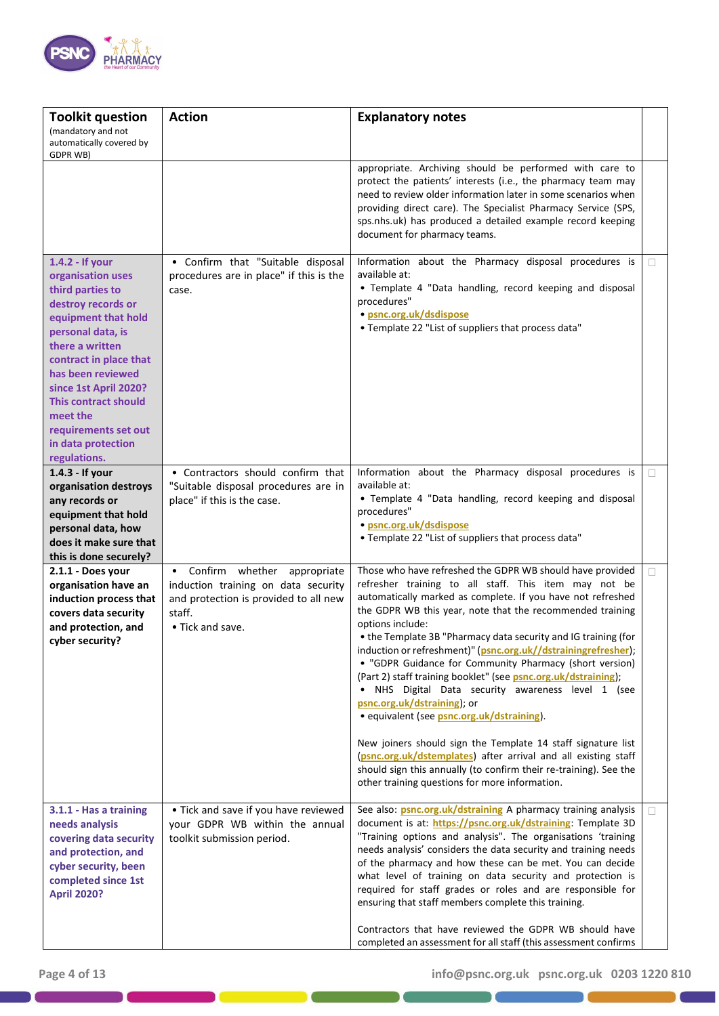

| <b>Toolkit question</b>                                                                                                                                                                                                                                                                                                        | <b>Action</b>                                                                                                                                          | <b>Explanatory notes</b>                                                                                                                                                                                                                                                                                                                                                                                                                                                                                                                                                                                                                                                                                                                                                                                                                                                                                                        |        |
|--------------------------------------------------------------------------------------------------------------------------------------------------------------------------------------------------------------------------------------------------------------------------------------------------------------------------------|--------------------------------------------------------------------------------------------------------------------------------------------------------|---------------------------------------------------------------------------------------------------------------------------------------------------------------------------------------------------------------------------------------------------------------------------------------------------------------------------------------------------------------------------------------------------------------------------------------------------------------------------------------------------------------------------------------------------------------------------------------------------------------------------------------------------------------------------------------------------------------------------------------------------------------------------------------------------------------------------------------------------------------------------------------------------------------------------------|--------|
| (mandatory and not<br>automatically covered by<br>GDPR WB)                                                                                                                                                                                                                                                                     |                                                                                                                                                        |                                                                                                                                                                                                                                                                                                                                                                                                                                                                                                                                                                                                                                                                                                                                                                                                                                                                                                                                 |        |
|                                                                                                                                                                                                                                                                                                                                |                                                                                                                                                        | appropriate. Archiving should be performed with care to<br>protect the patients' interests (i.e., the pharmacy team may<br>need to review older information later in some scenarios when<br>providing direct care). The Specialist Pharmacy Service (SPS,<br>sps.nhs.uk) has produced a detailed example record keeping<br>document for pharmacy teams.                                                                                                                                                                                                                                                                                                                                                                                                                                                                                                                                                                         |        |
| 1.4.2 - If your<br>organisation uses<br>third parties to<br>destroy records or<br>equipment that hold<br>personal data, is<br>there a written<br>contract in place that<br>has been reviewed<br>since 1st April 2020?<br><b>This contract should</b><br>meet the<br>requirements set out<br>in data protection<br>regulations. | • Confirm that "Suitable disposal<br>procedures are in place" if this is the<br>case.                                                                  | Information about the Pharmacy disposal procedures is<br>available at:<br>• Template 4 "Data handling, record keeping and disposal<br>procedures"<br>· psnc.org.uk/dsdispose<br>• Template 22 "List of suppliers that process data"                                                                                                                                                                                                                                                                                                                                                                                                                                                                                                                                                                                                                                                                                             | $\Box$ |
| 1.4.3 - If your<br>organisation destroys<br>any records or<br>equipment that hold<br>personal data, how<br>does it make sure that<br>this is done securely?                                                                                                                                                                    | • Contractors should confirm that<br>"Suitable disposal procedures are in<br>place" if this is the case.                                               | Information about the Pharmacy disposal procedures is<br>available at:<br>• Template 4 "Data handling, record keeping and disposal<br>procedures"<br>· psnc.org.uk/dsdispose<br>• Template 22 "List of suppliers that process data"                                                                                                                                                                                                                                                                                                                                                                                                                                                                                                                                                                                                                                                                                             | П      |
| 2.1.1 - Does your<br>organisation have an<br>induction process that<br>covers data security<br>and protection, and<br>cyber security?                                                                                                                                                                                          | Confirm whether appropriate<br>$\bullet$<br>induction training on data security<br>and protection is provided to all new<br>staff.<br>• Tick and save. | Those who have refreshed the GDPR WB should have provided<br>refresher training to all staff. This item may not be<br>automatically marked as complete. If you have not refreshed<br>the GDPR WB this year, note that the recommended training<br>options include:<br>• the Template 3B "Pharmacy data security and IG training (for<br>induction or refreshment)" (psnc.org.uk//dstrainingrefresher);<br>• "GDPR Guidance for Community Pharmacy (short version)<br>(Part 2) staff training booklet" (see psnc.org.uk/dstraining);<br>. NHS Digital Data security awareness level 1 (see<br>psnc.org.uk/dstraining); or<br>· equivalent (see psnc.org.uk/dstraining).<br>New joiners should sign the Template 14 staff signature list<br>(psnc.org.uk/dstemplates) after arrival and all existing staff<br>should sign this annually (to confirm their re-training). See the<br>other training questions for more information. | П      |
| 3.1.1 - Has a training<br>needs analysis<br>covering data security<br>and protection, and<br>cyber security, been<br>completed since 1st<br><b>April 2020?</b>                                                                                                                                                                 | • Tick and save if you have reviewed<br>your GDPR WB within the annual<br>toolkit submission period.                                                   | See also: psnc.org.uk/dstraining A pharmacy training analysis<br>document is at: https://psnc.org.uk/dstraining: Template 3D<br>"Training options and analysis". The organisations 'training<br>needs analysis' considers the data security and training needs<br>of the pharmacy and how these can be met. You can decide<br>what level of training on data security and protection is<br>required for staff grades or roles and are responsible for<br>ensuring that staff members complete this training.<br>Contractors that have reviewed the GDPR WB should have<br>completed an assessment for all staff (this assessment confirms                                                                                                                                                                                                                                                                                       | П      |

D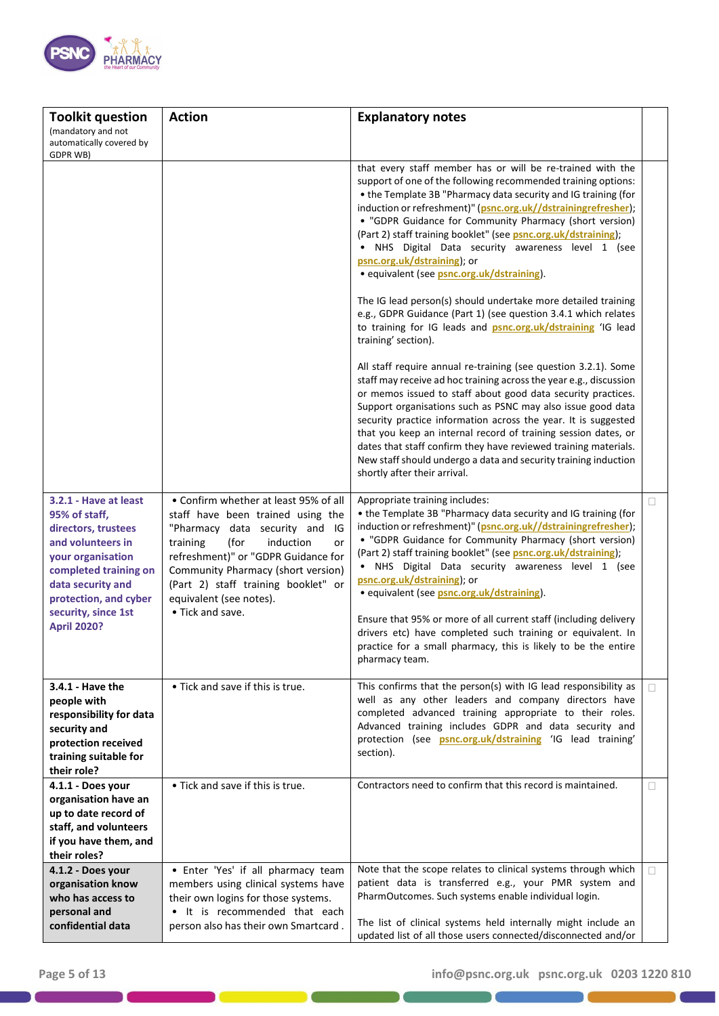

| <b>Toolkit question</b>                                                                                                                                                                                                     | <b>Action</b>                                                                                                                                                                                                                                                                                                             | <b>Explanatory notes</b>                                                                                                                                                                                                                                                                                                                                                                                                                                                                                                                                                                                                                                                                                                                                                                                                                                                                                                                                                                                                                                                                                                                                                                                                                                                                                                                           |    |
|-----------------------------------------------------------------------------------------------------------------------------------------------------------------------------------------------------------------------------|---------------------------------------------------------------------------------------------------------------------------------------------------------------------------------------------------------------------------------------------------------------------------------------------------------------------------|----------------------------------------------------------------------------------------------------------------------------------------------------------------------------------------------------------------------------------------------------------------------------------------------------------------------------------------------------------------------------------------------------------------------------------------------------------------------------------------------------------------------------------------------------------------------------------------------------------------------------------------------------------------------------------------------------------------------------------------------------------------------------------------------------------------------------------------------------------------------------------------------------------------------------------------------------------------------------------------------------------------------------------------------------------------------------------------------------------------------------------------------------------------------------------------------------------------------------------------------------------------------------------------------------------------------------------------------------|----|
| (mandatory and not<br>automatically covered by                                                                                                                                                                              |                                                                                                                                                                                                                                                                                                                           |                                                                                                                                                                                                                                                                                                                                                                                                                                                                                                                                                                                                                                                                                                                                                                                                                                                                                                                                                                                                                                                                                                                                                                                                                                                                                                                                                    |    |
| GDPR WB)                                                                                                                                                                                                                    |                                                                                                                                                                                                                                                                                                                           | that every staff member has or will be re-trained with the<br>support of one of the following recommended training options:<br>• the Template 3B "Pharmacy data security and IG training (for<br>induction or refreshment)" (psnc.org.uk//dstrainingrefresher);<br>• "GDPR Guidance for Community Pharmacy (short version)<br>(Part 2) staff training booklet" (see psnc.org.uk/dstraining);<br>. NHS Digital Data security awareness level 1 (see<br>psnc.org.uk/dstraining); or<br>· equivalent (see psnc.org.uk/dstraining).<br>The IG lead person(s) should undertake more detailed training<br>e.g., GDPR Guidance (Part 1) (see question 3.4.1 which relates<br>to training for IG leads and <b>psnc.org.uk/dstraining</b> 'IG lead<br>training' section).<br>All staff require annual re-training (see question 3.2.1). Some<br>staff may receive ad hoc training across the year e.g., discussion<br>or memos issued to staff about good data security practices.<br>Support organisations such as PSNC may also issue good data<br>security practice information across the year. It is suggested<br>that you keep an internal record of training session dates, or<br>dates that staff confirm they have reviewed training materials.<br>New staff should undergo a data and security training induction<br>shortly after their arrival. |    |
| 3.2.1 - Have at least<br>95% of staff,<br>directors, trustees<br>and volunteers in<br>your organisation<br>completed training on<br>data security and<br>protection, and cyber<br>security, since 1st<br><b>April 2020?</b> | • Confirm whether at least 95% of all<br>staff have been trained using the<br>"Pharmacy data security and<br>IG<br>training<br>(for<br>induction<br>or<br>refreshment)" or "GDPR Guidance for<br>Community Pharmacy (short version)<br>(Part 2) staff training booklet" or<br>equivalent (see notes).<br>• Tick and save. | Appropriate training includes:<br>• the Template 3B "Pharmacy data security and IG training (for<br>induction or refreshment)" (psnc.org.uk//dstrainingrefresher);<br>• "GDPR Guidance for Community Pharmacy (short version)<br>(Part 2) staff training booklet" (see psnc.org.uk/dstraining);<br>• NHS Digital Data security awareness level 1 (see<br>psnc.org.uk/dstraining); or<br>· equivalent (see psnc.org.uk/dstraining).<br>Ensure that 95% or more of all current staff (including delivery<br>drivers etc) have completed such training or equivalent. In<br>practice for a small pharmacy, this is likely to be the entire<br>pharmacy team.                                                                                                                                                                                                                                                                                                                                                                                                                                                                                                                                                                                                                                                                                          | П  |
| 3.4.1 - Have the<br>people with<br>responsibility for data<br>security and<br>protection received<br>training suitable for<br>their role?                                                                                   | • Tick and save if this is true.                                                                                                                                                                                                                                                                                          | This confirms that the person(s) with IG lead responsibility as<br>well as any other leaders and company directors have<br>completed advanced training appropriate to their roles.<br>Advanced training includes GDPR and data security and<br>protection (see psnc.org.uk/dstraining 'IG lead training'<br>section).                                                                                                                                                                                                                                                                                                                                                                                                                                                                                                                                                                                                                                                                                                                                                                                                                                                                                                                                                                                                                              | П. |
| 4.1.1 - Does your<br>organisation have an<br>up to date record of<br>staff, and volunteers<br>if you have them, and<br>their roles?                                                                                         | • Tick and save if this is true.                                                                                                                                                                                                                                                                                          | Contractors need to confirm that this record is maintained.                                                                                                                                                                                                                                                                                                                                                                                                                                                                                                                                                                                                                                                                                                                                                                                                                                                                                                                                                                                                                                                                                                                                                                                                                                                                                        | □  |
| 4.1.2 - Does your<br>organisation know<br>who has access to<br>personal and<br>confidential data                                                                                                                            | • Enter 'Yes' if all pharmacy team<br>members using clinical systems have<br>their own logins for those systems.<br>It is recommended that each<br>$\bullet$<br>person also has their own Smartcard.                                                                                                                      | Note that the scope relates to clinical systems through which<br>patient data is transferred e.g., your PMR system and<br>PharmOutcomes. Such systems enable individual login.<br>The list of clinical systems held internally might include an                                                                                                                                                                                                                                                                                                                                                                                                                                                                                                                                                                                                                                                                                                                                                                                                                                                                                                                                                                                                                                                                                                    | П  |
|                                                                                                                                                                                                                             |                                                                                                                                                                                                                                                                                                                           | updated list of all those users connected/disconnected and/or                                                                                                                                                                                                                                                                                                                                                                                                                                                                                                                                                                                                                                                                                                                                                                                                                                                                                                                                                                                                                                                                                                                                                                                                                                                                                      |    |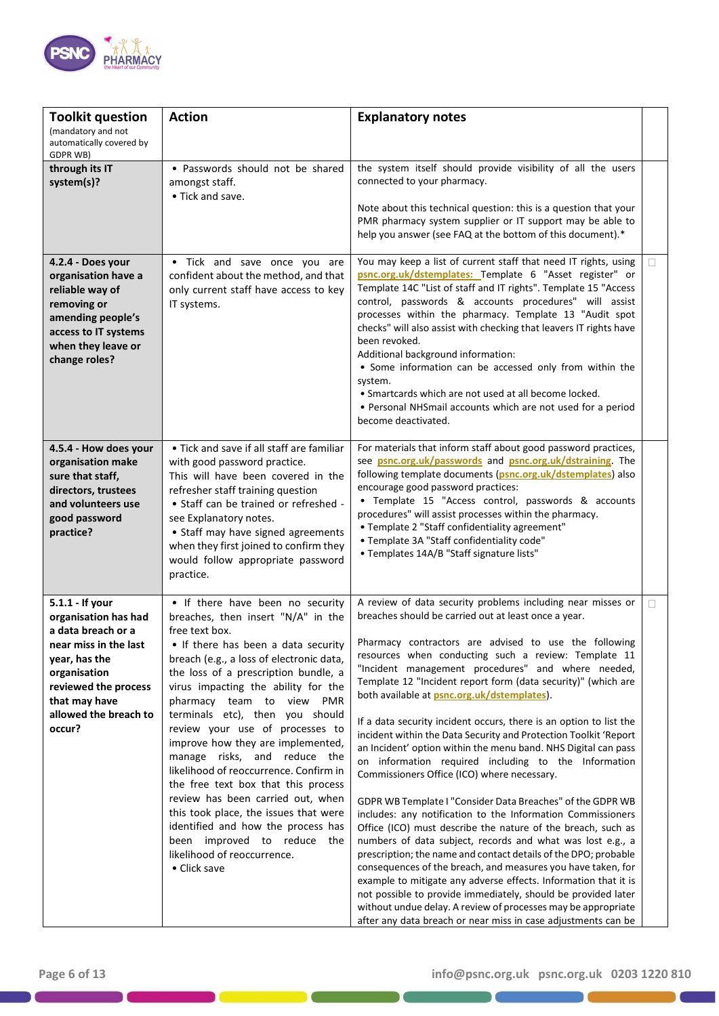

| <b>Toolkit question</b><br>(mandatory and not<br>automatically covered by                                                                                                                           | <b>Action</b>                                                                                                                                                                                                                                                                                                                                                                                                                                                                                                                                                                                                                                                                                                         | <b>Explanatory notes</b>                                                                                                                                                                                                                                                                                                                                                                                                                                                                                                                                                                                                                                                                                                                                                                                                                                                                                                                                                                                                                                                                                                                                                                                                                                                                                                                                                                          |        |
|-----------------------------------------------------------------------------------------------------------------------------------------------------------------------------------------------------|-----------------------------------------------------------------------------------------------------------------------------------------------------------------------------------------------------------------------------------------------------------------------------------------------------------------------------------------------------------------------------------------------------------------------------------------------------------------------------------------------------------------------------------------------------------------------------------------------------------------------------------------------------------------------------------------------------------------------|---------------------------------------------------------------------------------------------------------------------------------------------------------------------------------------------------------------------------------------------------------------------------------------------------------------------------------------------------------------------------------------------------------------------------------------------------------------------------------------------------------------------------------------------------------------------------------------------------------------------------------------------------------------------------------------------------------------------------------------------------------------------------------------------------------------------------------------------------------------------------------------------------------------------------------------------------------------------------------------------------------------------------------------------------------------------------------------------------------------------------------------------------------------------------------------------------------------------------------------------------------------------------------------------------------------------------------------------------------------------------------------------------|--------|
| GDPR WB)<br>through its IT<br>system(s)?                                                                                                                                                            | • Passwords should not be shared<br>amongst staff.<br>• Tick and save.                                                                                                                                                                                                                                                                                                                                                                                                                                                                                                                                                                                                                                                | the system itself should provide visibility of all the users<br>connected to your pharmacy.<br>Note about this technical question: this is a question that your<br>PMR pharmacy system supplier or IT support may be able to<br>help you answer (see FAQ at the bottom of this document).*                                                                                                                                                                                                                                                                                                                                                                                                                                                                                                                                                                                                                                                                                                                                                                                                                                                                                                                                                                                                                                                                                                        |        |
| 4.2.4 - Does your<br>organisation have a<br>reliable way of<br>removing or<br>amending people's<br>access to IT systems<br>when they leave or<br>change roles?                                      | • Tick and save once you are<br>confident about the method, and that<br>only current staff have access to key<br>IT systems.                                                                                                                                                                                                                                                                                                                                                                                                                                                                                                                                                                                          | You may keep a list of current staff that need IT rights, using<br>psnc.org.uk/dstemplates: Template 6 "Asset register" or<br>Template 14C "List of staff and IT rights". Template 15 "Access<br>control, passwords & accounts procedures" will assist<br>processes within the pharmacy. Template 13 "Audit spot<br>checks" will also assist with checking that leavers IT rights have<br>been revoked.<br>Additional background information:<br>• Some information can be accessed only from within the<br>system.<br>• Smartcards which are not used at all become locked.<br>• Personal NHSmail accounts which are not used for a period<br>become deactivated.                                                                                                                                                                                                                                                                                                                                                                                                                                                                                                                                                                                                                                                                                                                                | П      |
| 4.5.4 - How does your<br>organisation make<br>sure that staff,<br>directors, trustees<br>and volunteers use<br>good password<br>practice?                                                           | • Tick and save if all staff are familiar<br>with good password practice.<br>This will have been covered in the<br>refresher staff training question<br>• Staff can be trained or refreshed -<br>see Explanatory notes.<br>• Staff may have signed agreements<br>when they first joined to confirm they<br>would follow appropriate password<br>practice.                                                                                                                                                                                                                                                                                                                                                             | For materials that inform staff about good password practices,<br>see psnc.org.uk/passwords and psnc.org.uk/dstraining. The<br>following template documents (psnc.org.uk/dstemplates) also<br>encourage good password practices:<br>• Template 15 "Access control, passwords & accounts<br>procedures" will assist processes within the pharmacy.<br>• Template 2 "Staff confidentiality agreement"<br>• Template 3A "Staff confidentiality code"<br>• Templates 14A/B "Staff signature lists"                                                                                                                                                                                                                                                                                                                                                                                                                                                                                                                                                                                                                                                                                                                                                                                                                                                                                                    |        |
| 5.1.1 - If your<br>organisation has had<br>a data breach or a<br>near miss in the last<br>year, has the<br>organisation<br>reviewed the process<br>that may have<br>allowed the breach to<br>occur? | • If there have been no security<br>breaches, then insert "N/A" in the<br>free text box.<br>• If there has been a data security<br>breach (e.g., a loss of electronic data,<br>the loss of a prescription bundle, a<br>virus impacting the ability for the<br>pharmacy team to view PMR<br>terminals etc), then you should<br>review your use of processes to<br>improve how they are implemented,<br>manage risks, and reduce the<br>likelihood of reoccurrence. Confirm in<br>the free text box that this process<br>review has been carried out, when<br>this took place, the issues that were<br>identified and how the process has<br>been improved to reduce the<br>likelihood of reoccurrence.<br>• Click save | A review of data security problems including near misses or<br>breaches should be carried out at least once a year.<br>Pharmacy contractors are advised to use the following<br>resources when conducting such a review: Template 11<br>"Incident management procedures" and where needed,<br>Template 12 "Incident report form (data security)" (which are<br>both available at psnc.org.uk/dstemplates).<br>If a data security incident occurs, there is an option to list the<br>incident within the Data Security and Protection Toolkit 'Report<br>an Incident' option within the menu band. NHS Digital can pass<br>on information required including to the Information<br>Commissioners Office (ICO) where necessary.<br>GDPR WB Template I "Consider Data Breaches" of the GDPR WB<br>includes: any notification to the Information Commissioners<br>Office (ICO) must describe the nature of the breach, such as<br>numbers of data subject, records and what was lost e.g., a<br>prescription; the name and contact details of the DPO; probable<br>consequences of the breach, and measures you have taken, for<br>example to mitigate any adverse effects. Information that it is<br>not possible to provide immediately, should be provided later<br>without undue delay. A review of processes may be appropriate<br>after any data breach or near miss in case adjustments can be | $\Box$ |

D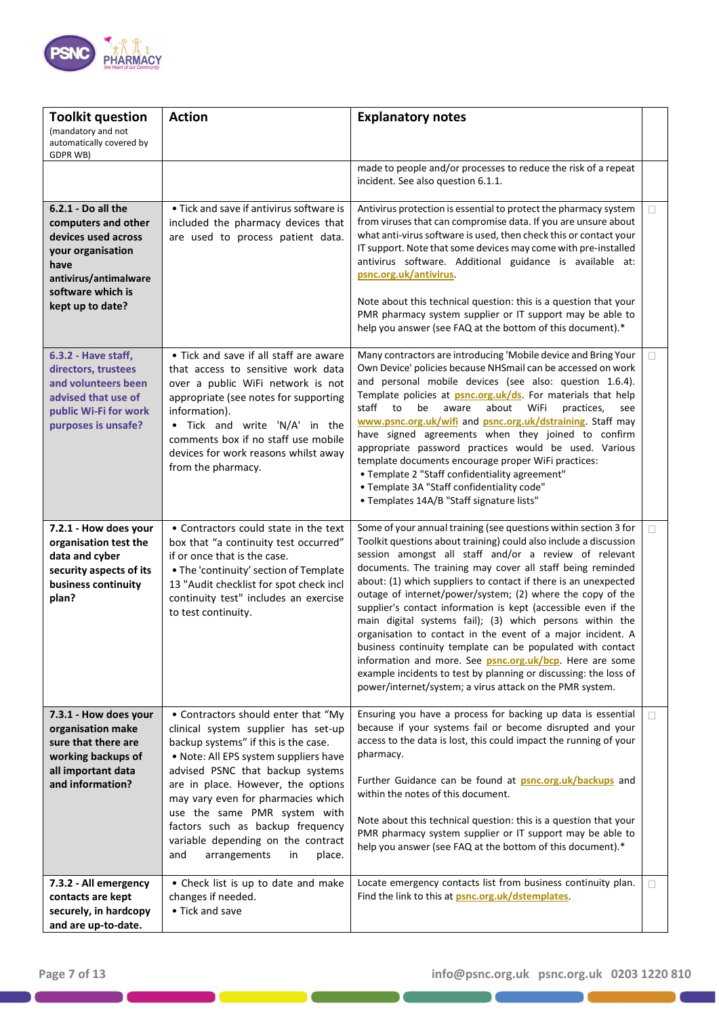

| <b>Toolkit question</b><br>(mandatory and not<br>automatically covered by<br>GDPR WB)                                                                           | <b>Action</b>                                                                                                                                                                                                                                                                                                                                                                                                                | <b>Explanatory notes</b>                                                                                                                                                                                                                                                                                                                                                                                                                                                                                                                                                                                                                                                                                                                                                                                                                                     |    |
|-----------------------------------------------------------------------------------------------------------------------------------------------------------------|------------------------------------------------------------------------------------------------------------------------------------------------------------------------------------------------------------------------------------------------------------------------------------------------------------------------------------------------------------------------------------------------------------------------------|--------------------------------------------------------------------------------------------------------------------------------------------------------------------------------------------------------------------------------------------------------------------------------------------------------------------------------------------------------------------------------------------------------------------------------------------------------------------------------------------------------------------------------------------------------------------------------------------------------------------------------------------------------------------------------------------------------------------------------------------------------------------------------------------------------------------------------------------------------------|----|
|                                                                                                                                                                 |                                                                                                                                                                                                                                                                                                                                                                                                                              | made to people and/or processes to reduce the risk of a repeat<br>incident. See also question 6.1.1.                                                                                                                                                                                                                                                                                                                                                                                                                                                                                                                                                                                                                                                                                                                                                         |    |
| 6.2.1 - Do all the<br>computers and other<br>devices used across<br>your organisation<br>have<br>antivirus/antimalware<br>software which is<br>kept up to date? | • Tick and save if antivirus software is<br>included the pharmacy devices that<br>are used to process patient data.                                                                                                                                                                                                                                                                                                          | Antivirus protection is essential to protect the pharmacy system<br>from viruses that can compromise data. If you are unsure about<br>what anti-virus software is used, then check this or contact your<br>IT support. Note that some devices may come with pre-installed<br>antivirus software. Additional guidance is available at:<br>psnc.org.uk/antivirus<br>Note about this technical question: this is a question that your<br>PMR pharmacy system supplier or IT support may be able to<br>help you answer (see FAQ at the bottom of this document).*                                                                                                                                                                                                                                                                                                | П  |
| 6.3.2 - Have staff,<br>directors, trustees<br>and volunteers been<br>advised that use of<br>public Wi-Fi for work<br>purposes is unsafe?                        | • Tick and save if all staff are aware<br>that access to sensitive work data<br>over a public WiFi network is not<br>appropriate (see notes for supporting<br>information).<br>Tick and write 'N/A' in the<br>comments box if no staff use mobile<br>devices for work reasons whilst away<br>from the pharmacy.                                                                                                              | Many contractors are introducing 'Mobile device and Bring Your<br>Own Device' policies because NHSmail can be accessed on work<br>and personal mobile devices (see also: question 1.6.4).<br>Template policies at <b>psnc.org.uk/ds</b> . For materials that help<br>aware<br>about<br>staff<br>to<br>be<br>WiFi<br>practices,<br>see<br>www.psnc.org.uk/wifi and psnc.org.uk/dstraining. Staff may<br>have signed agreements when they joined to confirm<br>appropriate password practices would be used. Various<br>template documents encourage proper WiFi practices:<br>• Template 2 "Staff confidentiality agreement"<br>• Template 3A "Staff confidentiality code"<br>• Templates 14A/B "Staff signature lists"                                                                                                                                       | П. |
| 7.2.1 - How does your<br>organisation test the<br>data and cyber<br>security aspects of its<br>business continuity<br>plan?                                     | • Contractors could state in the text<br>box that "a continuity test occurred"<br>if or once that is the case.<br>. The 'continuity' section of Template<br>13 "Audit checklist for spot check incl<br>continuity test" includes an exercise<br>to test continuity.                                                                                                                                                          | Some of your annual training (see questions within section 3 for<br>Toolkit questions about training) could also include a discussion<br>session amongst all staff and/or a review of relevant<br>documents. The training may cover all staff being reminded<br>about: (1) which suppliers to contact if there is an unexpected<br>outage of internet/power/system; (2) where the copy of the<br>supplier's contact information is kept (accessible even if the<br>main digital systems fail); (3) which persons within the<br>organisation to contact in the event of a major incident. A<br>business continuity template can be populated with contact<br>information and more. See <b>psnc.org.uk/bcp</b> . Here are some<br>example incidents to test by planning or discussing: the loss of<br>power/internet/system; a virus attack on the PMR system. | П. |
| 7.3.1 - How does your<br>organisation make<br>sure that there are<br>working backups of<br>all important data<br>and information?                               | • Contractors should enter that "My<br>clinical system supplier has set-up<br>backup systems" if this is the case.<br>. Note: All EPS system suppliers have<br>advised PSNC that backup systems<br>are in place. However, the options<br>may vary even for pharmacies which<br>use the same PMR system with<br>factors such as backup frequency<br>variable depending on the contract<br>and<br>arrangements<br>place.<br>in | Ensuring you have a process for backing up data is essential<br>because if your systems fail or become disrupted and your<br>access to the data is lost, this could impact the running of your<br>pharmacy.<br>Further Guidance can be found at <b>psnc.org.uk/backups</b> and<br>within the notes of this document.<br>Note about this technical question: this is a question that your<br>PMR pharmacy system supplier or IT support may be able to<br>help you answer (see FAQ at the bottom of this document).*                                                                                                                                                                                                                                                                                                                                          | П  |
| 7.3.2 - All emergency<br>contacts are kept<br>securely, in hardcopy<br>and are up-to-date.                                                                      | • Check list is up to date and make<br>changes if needed.<br>• Tick and save                                                                                                                                                                                                                                                                                                                                                 | Locate emergency contacts list from business continuity plan.<br>Find the link to this at psnc.org.uk/dstemplates.                                                                                                                                                                                                                                                                                                                                                                                                                                                                                                                                                                                                                                                                                                                                           | П  |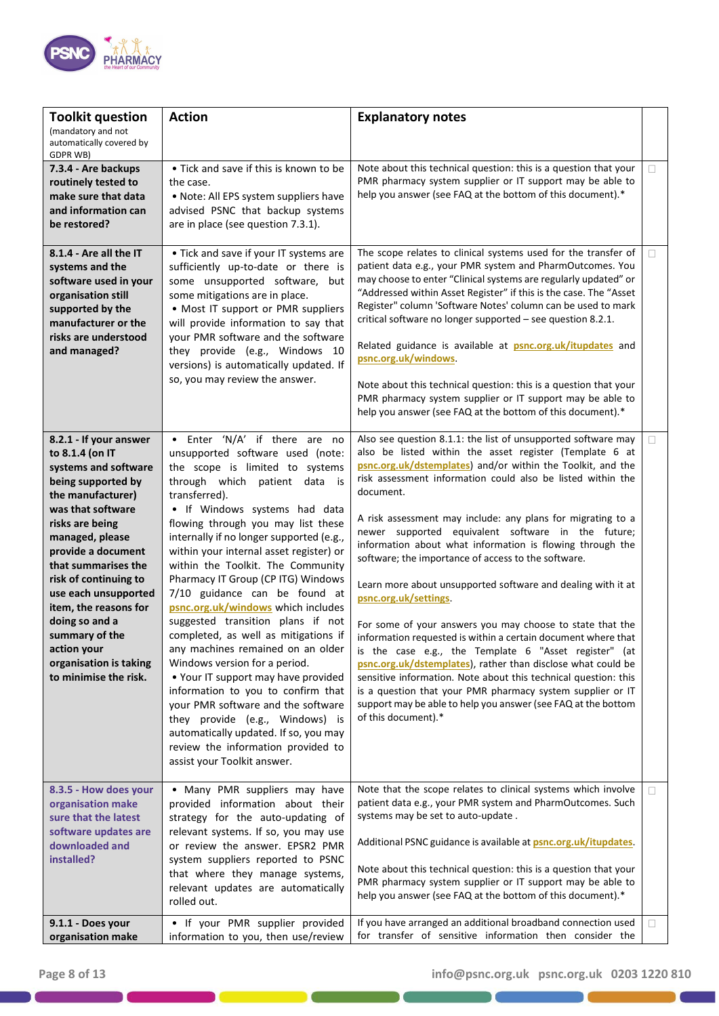

| <b>Toolkit question</b>                                                                                                                                                                                                                                                                                                                                                                              | <b>Action</b>                                                                                                                                                                                                                                                                                                                                                                                                                                                                                                                                                                                                                                                                                                                                                                                                                                                                                    | <b>Explanatory notes</b>                                                                                                                                                                                                                                                                                                                                                                                                                                                                                                                                                                                                                                                                                                                                                                                                                                                                                                                                                                                                                                                             |        |
|------------------------------------------------------------------------------------------------------------------------------------------------------------------------------------------------------------------------------------------------------------------------------------------------------------------------------------------------------------------------------------------------------|--------------------------------------------------------------------------------------------------------------------------------------------------------------------------------------------------------------------------------------------------------------------------------------------------------------------------------------------------------------------------------------------------------------------------------------------------------------------------------------------------------------------------------------------------------------------------------------------------------------------------------------------------------------------------------------------------------------------------------------------------------------------------------------------------------------------------------------------------------------------------------------------------|--------------------------------------------------------------------------------------------------------------------------------------------------------------------------------------------------------------------------------------------------------------------------------------------------------------------------------------------------------------------------------------------------------------------------------------------------------------------------------------------------------------------------------------------------------------------------------------------------------------------------------------------------------------------------------------------------------------------------------------------------------------------------------------------------------------------------------------------------------------------------------------------------------------------------------------------------------------------------------------------------------------------------------------------------------------------------------------|--------|
| (mandatory and not<br>automatically covered by<br>GDPR WB)                                                                                                                                                                                                                                                                                                                                           |                                                                                                                                                                                                                                                                                                                                                                                                                                                                                                                                                                                                                                                                                                                                                                                                                                                                                                  |                                                                                                                                                                                                                                                                                                                                                                                                                                                                                                                                                                                                                                                                                                                                                                                                                                                                                                                                                                                                                                                                                      |        |
| 7.3.4 - Are backups<br>routinely tested to<br>make sure that data<br>and information can<br>be restored?                                                                                                                                                                                                                                                                                             | • Tick and save if this is known to be<br>the case.<br>. Note: All EPS system suppliers have<br>advised PSNC that backup systems<br>are in place (see question 7.3.1).                                                                                                                                                                                                                                                                                                                                                                                                                                                                                                                                                                                                                                                                                                                           | Note about this technical question: this is a question that your<br>PMR pharmacy system supplier or IT support may be able to<br>help you answer (see FAQ at the bottom of this document).*                                                                                                                                                                                                                                                                                                                                                                                                                                                                                                                                                                                                                                                                                                                                                                                                                                                                                          | $\Box$ |
| 8.1.4 - Are all the IT<br>systems and the<br>software used in your<br>organisation still<br>supported by the<br>manufacturer or the<br>risks are understood<br>and managed?                                                                                                                                                                                                                          | • Tick and save if your IT systems are<br>sufficiently up-to-date or there is<br>some unsupported software, but<br>some mitigations are in place.<br>• Most IT support or PMR suppliers<br>will provide information to say that<br>your PMR software and the software<br>they provide (e.g., Windows 10<br>versions) is automatically updated. If<br>so, you may review the answer.                                                                                                                                                                                                                                                                                                                                                                                                                                                                                                              | The scope relates to clinical systems used for the transfer of<br>patient data e.g., your PMR system and PharmOutcomes. You<br>may choose to enter "Clinical systems are regularly updated" or<br>"Addressed within Asset Register" if this is the case. The "Asset<br>Register" column 'Software Notes' column can be used to mark<br>critical software no longer supported - see question 8.2.1.<br>Related guidance is available at <b>psnc.org.uk/itupdates</b> and<br>psnc.org.uk/windows<br>Note about this technical question: this is a question that your<br>PMR pharmacy system supplier or IT support may be able to<br>help you answer (see FAQ at the bottom of this document).*                                                                                                                                                                                                                                                                                                                                                                                        | П      |
| 8.2.1 - If your answer<br>to 8.1.4 (on IT<br>systems and software<br>being supported by<br>the manufacturer)<br>was that software<br>risks are being<br>managed, please<br>provide a document<br>that summarises the<br>risk of continuing to<br>use each unsupported<br>item, the reasons for<br>doing so and a<br>summary of the<br>action your<br>organisation is taking<br>to minimise the risk. | • Enter 'N/A' if there are no<br>unsupported software used (note:<br>the scope is limited to systems<br>through which patient data<br>is<br>transferred).<br>. If Windows systems had data<br>flowing through you may list these<br>internally if no longer supported (e.g.,<br>within your internal asset register) or<br>within the Toolkit. The Community<br>Pharmacy IT Group (CP ITG) Windows<br>7/10 guidance can be found at<br>psnc.org.uk/windows which includes<br>suggested transition plans if not<br>completed, as well as mitigations if<br>any machines remained on an older<br>Windows version for a period.<br>. Your IT support may have provided<br>information to you to confirm that<br>your PMR software and the software<br>they provide (e.g., Windows) is<br>automatically updated. If so, you may<br>review the information provided to<br>assist your Toolkit answer. | Also see question 8.1.1: the list of unsupported software may<br>also be listed within the asset register (Template 6 at<br>psnc.org.uk/dstemplates) and/or within the Toolkit, and the<br>risk assessment information could also be listed within the<br>document.<br>A risk assessment may include: any plans for migrating to a<br>newer supported equivalent software in the future;<br>information about what information is flowing through the<br>software; the importance of access to the software.<br>Learn more about unsupported software and dealing with it at<br>psnc.org.uk/settings<br>For some of your answers you may choose to state that the<br>information requested is within a certain document where that<br>is the case e.g., the Template 6 "Asset register" (at<br>psnc.org.uk/dstemplates), rather than disclose what could be<br>sensitive information. Note about this technical question: this<br>is a question that your PMR pharmacy system supplier or IT<br>support may be able to help you answer (see FAQ at the bottom<br>of this document).* | П      |
| 8.3.5 - How does your<br>organisation make<br>sure that the latest<br>software updates are<br>downloaded and<br>installed?                                                                                                                                                                                                                                                                           | • Many PMR suppliers may have<br>provided information about their<br>strategy for the auto-updating of<br>relevant systems. If so, you may use<br>or review the answer. EPSR2 PMR<br>system suppliers reported to PSNC<br>that where they manage systems,<br>relevant updates are automatically<br>rolled out.                                                                                                                                                                                                                                                                                                                                                                                                                                                                                                                                                                                   | Note that the scope relates to clinical systems which involve<br>patient data e.g., your PMR system and PharmOutcomes. Such<br>systems may be set to auto-update.<br>Additional PSNC guidance is available at <b>psnc.org.uk/itupdates</b> .<br>Note about this technical question: this is a question that your<br>PMR pharmacy system supplier or IT support may be able to<br>help you answer (see FAQ at the bottom of this document).*                                                                                                                                                                                                                                                                                                                                                                                                                                                                                                                                                                                                                                          | $\Box$ |
| 9.1.1 - Does your<br>organisation make                                                                                                                                                                                                                                                                                                                                                               | • If your PMR supplier provided<br>information to you, then use/review                                                                                                                                                                                                                                                                                                                                                                                                                                                                                                                                                                                                                                                                                                                                                                                                                           | If you have arranged an additional broadband connection used<br>for transfer of sensitive information then consider the                                                                                                                                                                                                                                                                                                                                                                                                                                                                                                                                                                                                                                                                                                                                                                                                                                                                                                                                                              | □      |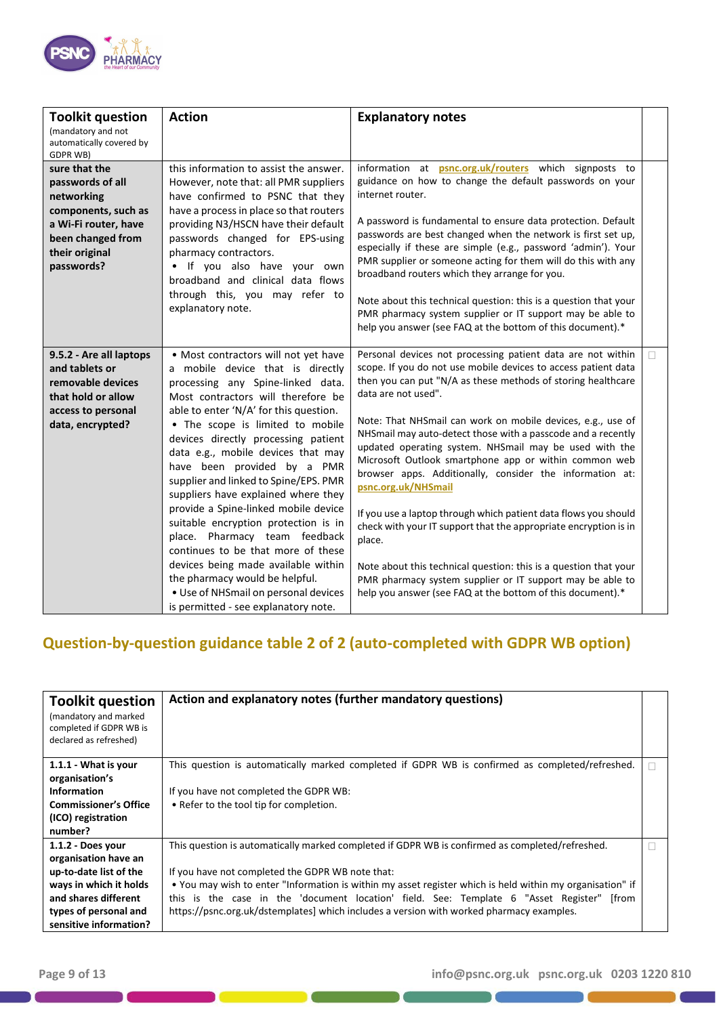

| <b>Toolkit question</b><br>(mandatory and not<br>automatically covered by<br><b>GDPR WB)</b>                                                        | <b>Action</b>                                                                                                                                                                                                                                                                                                                                                                                                                                                                                                                                                                                                                                                                                                                                 | <b>Explanatory notes</b>                                                                                                                                                                                                                                                                                                                                                                                                                                                                                                                                                                                                                                                                                                                                                                                                                                                                                  |   |
|-----------------------------------------------------------------------------------------------------------------------------------------------------|-----------------------------------------------------------------------------------------------------------------------------------------------------------------------------------------------------------------------------------------------------------------------------------------------------------------------------------------------------------------------------------------------------------------------------------------------------------------------------------------------------------------------------------------------------------------------------------------------------------------------------------------------------------------------------------------------------------------------------------------------|-----------------------------------------------------------------------------------------------------------------------------------------------------------------------------------------------------------------------------------------------------------------------------------------------------------------------------------------------------------------------------------------------------------------------------------------------------------------------------------------------------------------------------------------------------------------------------------------------------------------------------------------------------------------------------------------------------------------------------------------------------------------------------------------------------------------------------------------------------------------------------------------------------------|---|
| sure that the<br>passwords of all<br>networking<br>components, such as<br>a Wi-Fi router, have<br>been changed from<br>their original<br>passwords? | this information to assist the answer.<br>However, note that: all PMR suppliers<br>have confirmed to PSNC that they<br>have a process in place so that routers<br>providing N3/HSCN have their default<br>passwords changed for EPS-using<br>pharmacy contractors.<br>. If you also have your own<br>broadband and clinical data flows<br>through this, you may refer to<br>explanatory note.                                                                                                                                                                                                                                                                                                                                                 | information at psnc.org.uk/routers which signposts to<br>guidance on how to change the default passwords on your<br>internet router.<br>A password is fundamental to ensure data protection. Default<br>passwords are best changed when the network is first set up,<br>especially if these are simple (e.g., password 'admin'). Your<br>PMR supplier or someone acting for them will do this with any<br>broadband routers which they arrange for you.<br>Note about this technical question: this is a question that your<br>PMR pharmacy system supplier or IT support may be able to<br>help you answer (see FAQ at the bottom of this document).*                                                                                                                                                                                                                                                    |   |
| 9.5.2 - Are all laptops<br>and tablets or<br>removable devices<br>that hold or allow<br>access to personal<br>data, encrypted?                      | • Most contractors will not yet have<br>a mobile device that is directly<br>processing any Spine-linked data.<br>Most contractors will therefore be<br>able to enter 'N/A' for this question.<br>. The scope is limited to mobile<br>devices directly processing patient<br>data e.g., mobile devices that may<br>have been provided by a PMR<br>supplier and linked to Spine/EPS. PMR<br>suppliers have explained where they<br>provide a Spine-linked mobile device<br>suitable encryption protection is in<br>place. Pharmacy team feedback<br>continues to be that more of these<br>devices being made available within<br>the pharmacy would be helpful.<br>· Use of NHSmail on personal devices<br>is permitted - see explanatory note. | Personal devices not processing patient data are not within<br>scope. If you do not use mobile devices to access patient data<br>then you can put "N/A as these methods of storing healthcare<br>data are not used".<br>Note: That NHSmail can work on mobile devices, e.g., use of<br>NHSmail may auto-detect those with a passcode and a recently<br>updated operating system. NHSmail may be used with the<br>Microsoft Outlook smartphone app or within common web<br>browser apps. Additionally, consider the information at:<br>psnc.org.uk/NHSmail<br>If you use a laptop through which patient data flows you should<br>check with your IT support that the appropriate encryption is in<br>place.<br>Note about this technical question: this is a question that your<br>PMR pharmacy system supplier or IT support may be able to<br>help you answer (see FAQ at the bottom of this document).* | П |

# **Question-by-question guidance table 2 of 2 (auto-completed with GDPR WB option)**

| <b>Toolkit question</b><br>(mandatory and marked<br>completed if GDPR WB is<br>declared as refreshed)                                                                    | Action and explanatory notes (further mandatory questions)                                                                                                                                                                                                                                                                                                                                                                                                   |  |
|--------------------------------------------------------------------------------------------------------------------------------------------------------------------------|--------------------------------------------------------------------------------------------------------------------------------------------------------------------------------------------------------------------------------------------------------------------------------------------------------------------------------------------------------------------------------------------------------------------------------------------------------------|--|
| 1.1.1 - What is your<br>organisation's<br><b>Information</b><br><b>Commissioner's Office</b><br>(ICO) registration<br>number?                                            | This question is automatically marked completed if GDPR WB is confirmed as completed/refreshed.<br>If you have not completed the GDPR WB:<br>• Refer to the tool tip for completion.                                                                                                                                                                                                                                                                         |  |
| 1.1.2 - Does your<br>organisation have an<br>up-to-date list of the<br>ways in which it holds<br>and shares different<br>types of personal and<br>sensitive information? | This question is automatically marked completed if GDPR WB is confirmed as completed/refreshed.<br>If you have not completed the GDPR WB note that:<br>• You may wish to enter "Information is within my asset register which is held within my organisation" if<br>this is the case in the 'document location' field. See: Template 6 "Asset Register"<br>lfrom<br>https://psnc.org.uk/dstemplates] which includes a version with worked pharmacy examples. |  |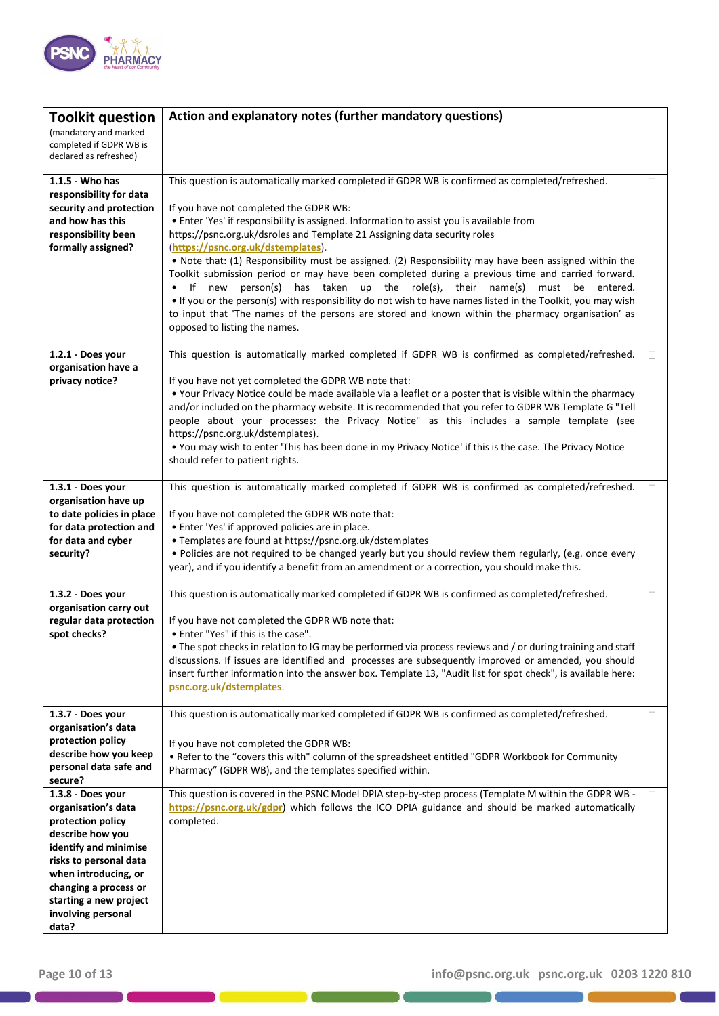

| <b>Toolkit question</b>                                                    | Action and explanatory notes (further mandatory questions)                                                                                                                       |        |
|----------------------------------------------------------------------------|----------------------------------------------------------------------------------------------------------------------------------------------------------------------------------|--------|
| (mandatory and marked<br>completed if GDPR WB is<br>declared as refreshed) |                                                                                                                                                                                  |        |
| 1.1.5 - Who has                                                            | This question is automatically marked completed if GDPR WB is confirmed as completed/refreshed.                                                                                  | П      |
| responsibility for data<br>security and protection                         | If you have not completed the GDPR WB:                                                                                                                                           |        |
| and how has this                                                           | • Enter 'Yes' if responsibility is assigned. Information to assist you is available from                                                                                         |        |
| responsibility been<br>formally assigned?                                  | https://psnc.org.uk/dsroles and Template 21 Assigning data security roles<br>(https://psnc.org.uk/dstemplates).                                                                  |        |
|                                                                            | . Note that: (1) Responsibility must be assigned. (2) Responsibility may have been assigned within the                                                                           |        |
|                                                                            | Toolkit submission period or may have been completed during a previous time and carried forward.<br>If new<br>person(s) has taken up the role(s), their name(s) must be entered. |        |
|                                                                            | . If you or the person(s) with responsibility do not wish to have names listed in the Toolkit, you may wish                                                                      |        |
|                                                                            | to input that 'The names of the persons are stored and known within the pharmacy organisation' as<br>opposed to listing the names.                                               |        |
|                                                                            |                                                                                                                                                                                  |        |
| 1.2.1 - Does your<br>organisation have a                                   | This question is automatically marked completed if GDPR WB is confirmed as completed/refreshed.                                                                                  | П.     |
| privacy notice?                                                            | If you have not yet completed the GDPR WB note that:<br>• Your Privacy Notice could be made available via a leaflet or a poster that is visible within the pharmacy              |        |
|                                                                            | and/or included on the pharmacy website. It is recommended that you refer to GDPR WB Template G "Tell                                                                            |        |
|                                                                            | people about your processes: the Privacy Notice" as this includes a sample template (see<br>https://psnc.org.uk/dstemplates).                                                    |        |
|                                                                            | . You may wish to enter 'This has been done in my Privacy Notice' if this is the case. The Privacy Notice                                                                        |        |
|                                                                            | should refer to patient rights.                                                                                                                                                  |        |
| 1.3.1 - Does your<br>organisation have up                                  | This question is automatically marked completed if GDPR WB is confirmed as completed/refreshed.                                                                                  | П      |
| to date policies in place                                                  | If you have not completed the GDPR WB note that:                                                                                                                                 |        |
| for data protection and<br>for data and cyber                              | • Enter 'Yes' if approved policies are in place.<br>• Templates are found at https://psnc.org.uk/dstemplates                                                                     |        |
| security?                                                                  | . Policies are not required to be changed yearly but you should review them regularly, (e.g. once every                                                                          |        |
|                                                                            | year), and if you identify a benefit from an amendment or a correction, you should make this.                                                                                    |        |
| 1.3.2 - Does your<br>organisation carry out                                | This question is automatically marked completed if GDPR WB is confirmed as completed/refreshed.                                                                                  | $\Box$ |
| regular data protection                                                    | If you have not completed the GDPR WB note that:                                                                                                                                 |        |
| spot checks?                                                               | • Enter "Yes" if this is the case".<br>. The spot checks in relation to IG may be performed via process reviews and / or during training and staff                               |        |
|                                                                            | discussions. If issues are identified and processes are subsequently improved or amended, you should                                                                             |        |
|                                                                            | insert further information into the answer box. Template 13, "Audit list for spot check", is available here:<br>psnc.org.uk/dstemplates.                                         |        |
| 1.3.7 - Does your                                                          | This question is automatically marked completed if GDPR WB is confirmed as completed/refreshed.                                                                                  | $\Box$ |
| organisation's data                                                        |                                                                                                                                                                                  |        |
| protection policy<br>describe how you keep                                 | If you have not completed the GDPR WB:<br>. Refer to the "covers this with" column of the spreadsheet entitled "GDPR Workbook for Community                                      |        |
| personal data safe and                                                     | Pharmacy" (GDPR WB), and the templates specified within.                                                                                                                         |        |
| secure?<br>1.3.8 - Does your                                               | This question is covered in the PSNC Model DPIA step-by-step process (Template M within the GDPR WB -                                                                            | O.     |
| organisation's data<br>protection policy                                   | https://psnc.org.uk/gdpr) which follows the ICO DPIA guidance and should be marked automatically<br>completed.                                                                   |        |
| describe how you                                                           |                                                                                                                                                                                  |        |
| identify and minimise                                                      |                                                                                                                                                                                  |        |
| risks to personal data<br>when introducing, or                             |                                                                                                                                                                                  |        |
| changing a process or                                                      |                                                                                                                                                                                  |        |
| starting a new project<br>involving personal                               |                                                                                                                                                                                  |        |
| data?                                                                      |                                                                                                                                                                                  |        |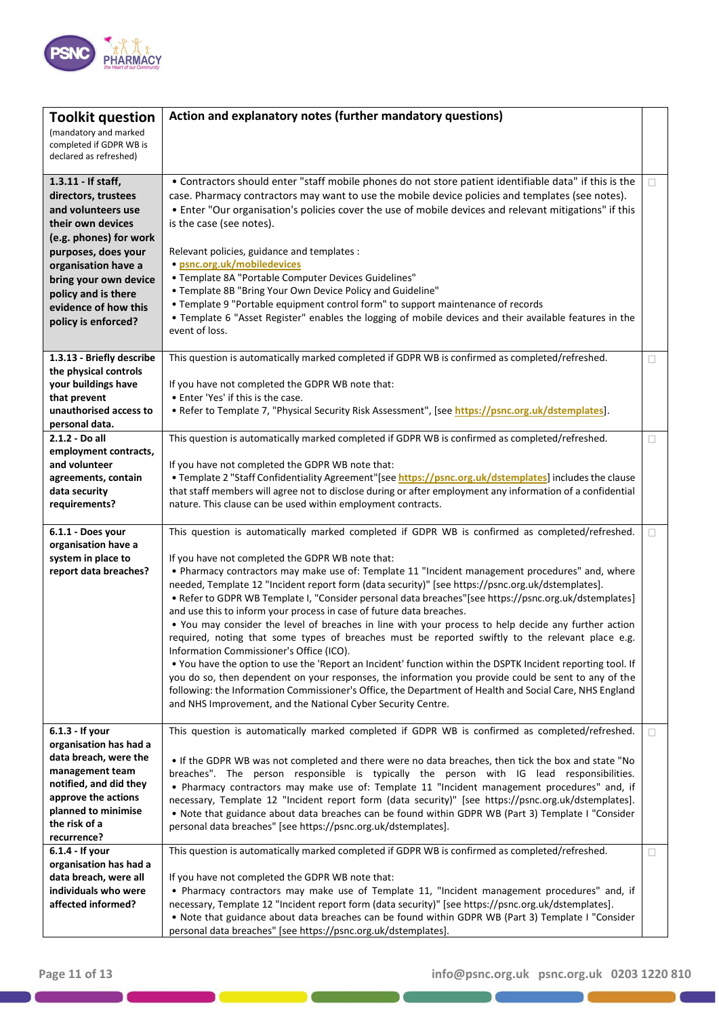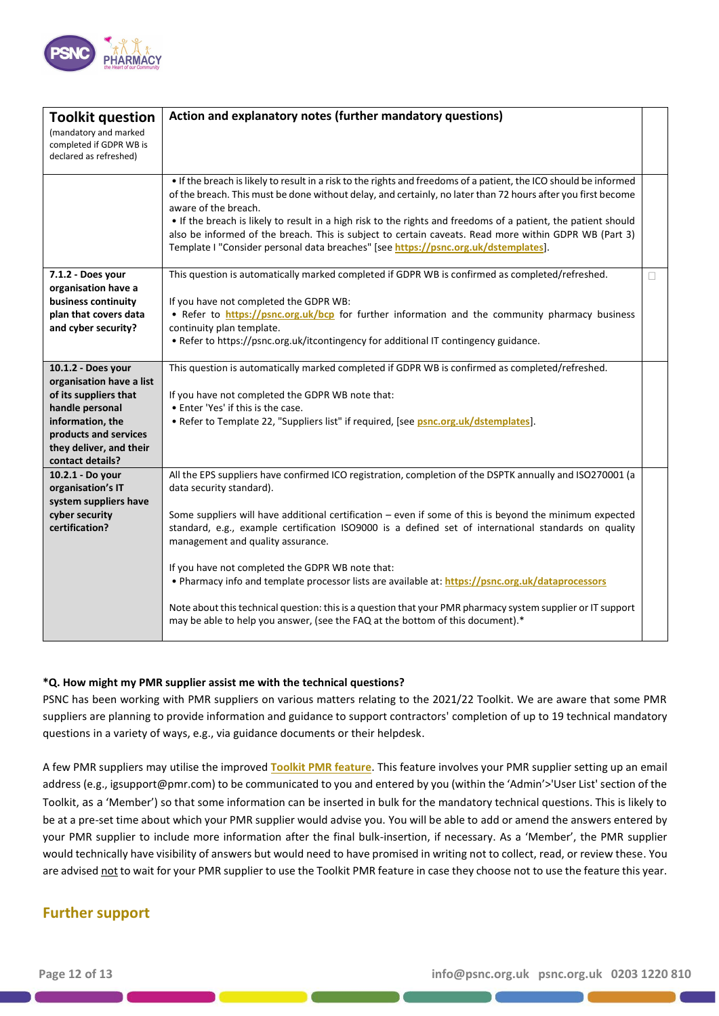

| <b>Toolkit question</b><br>(mandatory and marked<br>completed if GDPR WB is<br>declared as refreshed)                                                                                  | Action and explanatory notes (further mandatory questions)                                                                                                                                                                                                                                                                                                                                                                                                                                                                                                                                                                                                                                                                                             |   |
|----------------------------------------------------------------------------------------------------------------------------------------------------------------------------------------|--------------------------------------------------------------------------------------------------------------------------------------------------------------------------------------------------------------------------------------------------------------------------------------------------------------------------------------------------------------------------------------------------------------------------------------------------------------------------------------------------------------------------------------------------------------------------------------------------------------------------------------------------------------------------------------------------------------------------------------------------------|---|
|                                                                                                                                                                                        | . If the breach is likely to result in a risk to the rights and freedoms of a patient, the ICO should be informed<br>of the breach. This must be done without delay, and certainly, no later than 72 hours after you first become<br>aware of the breach.<br>. If the breach is likely to result in a high risk to the rights and freedoms of a patient, the patient should<br>also be informed of the breach. This is subject to certain caveats. Read more within GDPR WB (Part 3)<br>Template I "Consider personal data breaches" [see https://psnc.org.uk/dstemplates].                                                                                                                                                                            |   |
| 7.1.2 - Does your<br>organisation have a<br>business continuity<br>plan that covers data<br>and cyber security?                                                                        | This question is automatically marked completed if GDPR WB is confirmed as completed/refreshed.<br>If you have not completed the GDPR WB:<br>. Refer to https://psnc.org.uk/bcp for further information and the community pharmacy business<br>continuity plan template.<br>• Refer to https://psnc.org.uk/itcontingency for additional IT contingency guidance.                                                                                                                                                                                                                                                                                                                                                                                       | П |
| 10.1.2 - Does your<br>organisation have a list<br>of its suppliers that<br>handle personal<br>information, the<br>products and services<br>they deliver, and their<br>contact details? | This question is automatically marked completed if GDPR WB is confirmed as completed/refreshed.<br>If you have not completed the GDPR WB note that:<br>• Enter 'Yes' if this is the case.<br>. Refer to Template 22, "Suppliers list" if required, [see psnc.org.uk/dstemplates].                                                                                                                                                                                                                                                                                                                                                                                                                                                                      |   |
| 10.2.1 - Do your<br>organisation's IT<br>system suppliers have<br>cyber security<br>certification?                                                                                     | All the EPS suppliers have confirmed ICO registration, completion of the DSPTK annually and ISO270001 (a<br>data security standard).<br>Some suppliers will have additional certification - even if some of this is beyond the minimum expected<br>standard, e.g., example certification ISO9000 is a defined set of international standards on quality<br>management and quality assurance.<br>If you have not completed the GDPR WB note that:<br>. Pharmacy info and template processor lists are available at: https://psnc.org.uk/dataprocessors<br>Note about this technical question: this is a question that your PMR pharmacy system supplier or IT support<br>may be able to help you answer, (see the FAQ at the bottom of this document).* |   |

#### **\*Q. How might my PMR supplier assist me with the technical questions?**

PSNC has been working with PMR suppliers on various matters relating to the 2021/22 Toolkit. We are aware that some PMR suppliers are planning to provide information and guidance to support contractors' completion of up to 19 technical mandatory questions in a variety of ways, e.g., via guidance documents or their helpdesk.

A few PMR suppliers may utilise the improved **[Toolkit PMR feature](https://psnc.org.uk/dsptk)**. This feature involves your PMR supplier setting up an email address (e.g., igsupport@pmr.com) to be communicated to you and entered by you (within the 'Admin'>'User List' section of the Toolkit, as a 'Member') so that some information can be inserted in bulk for the mandatory technical questions. This is likely to be at a pre-set time about which your PMR supplier would advise you. You will be able to add or amend the answers entered by your PMR supplier to include more information after the final bulk-insertion, if necessary. As a 'Member', the PMR supplier would technically have visibility of answers but would need to have promised in writing not to collect, read, or review these. You are advised not to wait for your PMR supplier to use the Toolkit PMR feature in case they choose not to use the feature this year.

#### **Further support**